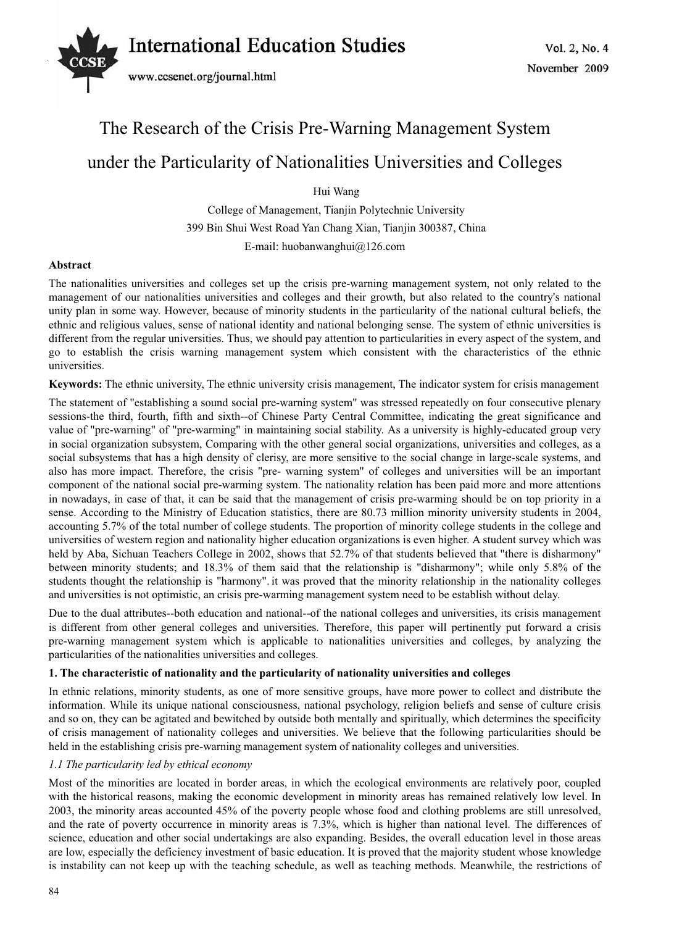# Vol. 2, No. 4 *International Education Studies*



# The Research of the Crisis Pre-Warning Management System under the Particularity of Nationalities Universities and Colleges

Hui Wang

College of Management, Tianjin Polytechnic University 399 Bin Shui West Road Yan Chang Xian, Tianjin 300387, China

E-mail: huobanwanghui@126.com

# **Abstract**

The nationalities universities and colleges set up the crisis pre-warning management system, not only related to the management of our nationalities universities and colleges and their growth, but also related to the country's national unity plan in some way. However, because of minority students in the particularity of the national cultural beliefs, the ethnic and religious values, sense of national identity and national belonging sense. The system of ethnic universities is different from the regular universities. Thus, we should pay attention to particularities in every aspect of the system, and go to establish the crisis warning management system which consistent with the characteristics of the ethnic universities.

**Keywords:** The ethnic university, The ethnic university crisis management, The indicator system for crisis management

The statement of "establishing a sound social pre-warning system" was stressed repeatedly on four consecutive plenary sessions-the third, fourth, fifth and sixth--of Chinese Party Central Committee, indicating the great significance and value of "pre-warning" of "pre-warming" in maintaining social stability. As a university is highly-educated group very in social organization subsystem, Comparing with the other general social organizations, universities and colleges, as a social subsystems that has a high density of clerisy, are more sensitive to the social change in large-scale systems, and also has more impact. Therefore, the crisis "pre- warning system" of colleges and universities will be an important component of the national social pre-warming system. The nationality relation has been paid more and more attentions in nowadays, in case of that, it can be said that the management of crisis pre-warming should be on top priority in a sense. According to the Ministry of Education statistics, there are 80.73 million minority university students in 2004, accounting 5.7% of the total number of college students. The proportion of minority college students in the college and universities of western region and nationality higher education organizations is even higher. A student survey which was held by Aba, Sichuan Teachers College in 2002, shows that 52.7% of that students believed that "there is disharmony" between minority students; and 18.3% of them said that the relationship is "disharmony"; while only 5.8% of the students thought the relationship is "harmony". it was proved that the minority relationship in the nationality colleges and universities is not optimistic, an crisis pre-warming management system need to be establish without delay.

Due to the dual attributes--both education and national--of the national colleges and universities, its crisis management is different from other general colleges and universities. Therefore, this paper will pertinently put forward a crisis pre-warning management system which is applicable to nationalities universities and colleges, by analyzing the particularities of the nationalities universities and colleges.

# **1. The characteristic of nationality and the particularity of nationality universities and colleges**

In ethnic relations, minority students, as one of more sensitive groups, have more power to collect and distribute the information. While its unique national consciousness, national psychology, religion beliefs and sense of culture crisis and so on, they can be agitated and bewitched by outside both mentally and spiritually, which determines the specificity of crisis management of nationality colleges and universities. We believe that the following particularities should be held in the establishing crisis pre-warning management system of nationality colleges and universities.

# *1.1 The particularity led by ethical economy*

Most of the minorities are located in border areas, in which the ecological environments are relatively poor, coupled with the historical reasons, making the economic development in minority areas has remained relatively low level. In 2003, the minority areas accounted 45% of the poverty people whose food and clothing problems are still unresolved, and the rate of poverty occurrence in minority areas is 7.3%, which is higher than national level. The differences of science, education and other social undertakings are also expanding. Besides, the overall education level in those areas are low, especially the deficiency investment of basic education. It is proved that the majority student whose knowledge is instability can not keep up with the teaching schedule, as well as teaching methods. Meanwhile, the restrictions of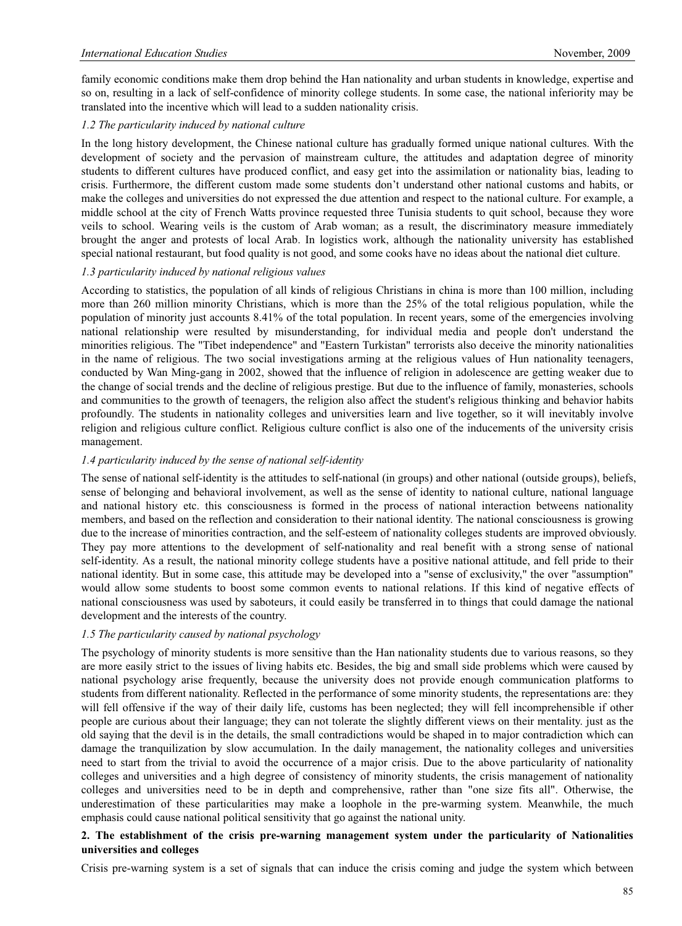family economic conditions make them drop behind the Han nationality and urban students in knowledge, expertise and so on, resulting in a lack of self-confidence of minority college students. In some case, the national inferiority may be translated into the incentive which will lead to a sudden nationality crisis.

#### *1.2 The particularity induced by national culture*

In the long history development, the Chinese national culture has gradually formed unique national cultures. With the development of society and the pervasion of mainstream culture, the attitudes and adaptation degree of minority students to different cultures have produced conflict, and easy get into the assimilation or nationality bias, leading to crisis. Furthermore, the different custom made some students don't understand other national customs and habits, or make the colleges and universities do not expressed the due attention and respect to the national culture. For example, a middle school at the city of French Watts province requested three Tunisia students to quit school, because they wore veils to school. Wearing veils is the custom of Arab woman; as a result, the discriminatory measure immediately brought the anger and protests of local Arab. In logistics work, although the nationality university has established special national restaurant, but food quality is not good, and some cooks have no ideas about the national diet culture.

#### *1.3 particularity induced by national religious values*

According to statistics, the population of all kinds of religious Christians in china is more than 100 million, including more than 260 million minority Christians, which is more than the 25% of the total religious population, while the population of minority just accounts 8.41% of the total population. In recent years, some of the emergencies involving national relationship were resulted by misunderstanding, for individual media and people don't understand the minorities religious. The "Tibet independence" and "Eastern Turkistan" terrorists also deceive the minority nationalities in the name of religious. The two social investigations arming at the religious values of Hun nationality teenagers, conducted by Wan Ming-gang in 2002, showed that the influence of religion in adolescence are getting weaker due to the change of social trends and the decline of religious prestige. But due to the influence of family, monasteries, schools and communities to the growth of teenagers, the religion also affect the student's religious thinking and behavior habits profoundly. The students in nationality colleges and universities learn and live together, so it will inevitably involve religion and religious culture conflict. Religious culture conflict is also one of the inducements of the university crisis management.

#### *1.4 particularity induced by the sense of national self-identity*

The sense of national self-identity is the attitudes to self-national (in groups) and other national (outside groups), beliefs, sense of belonging and behavioral involvement, as well as the sense of identity to national culture, national language and national history etc. this consciousness is formed in the process of national interaction betweens nationality members, and based on the reflection and consideration to their national identity. The national consciousness is growing due to the increase of minorities contraction, and the self-esteem of nationality colleges students are improved obviously. They pay more attentions to the development of self-nationality and real benefit with a strong sense of national self-identity. As a result, the national minority college students have a positive national attitude, and fell pride to their national identity. But in some case, this attitude may be developed into a "sense of exclusivity," the over "assumption" would allow some students to boost some common events to national relations. If this kind of negative effects of national consciousness was used by saboteurs, it could easily be transferred in to things that could damage the national development and the interests of the country.

#### *1.5 The particularity caused by national psychology*

The psychology of minority students is more sensitive than the Han nationality students due to various reasons, so they are more easily strict to the issues of living habits etc. Besides, the big and small side problems which were caused by national psychology arise frequently, because the university does not provide enough communication platforms to students from different nationality. Reflected in the performance of some minority students, the representations are: they will fell offensive if the way of their daily life, customs has been neglected; they will fell incomprehensible if other people are curious about their language; they can not tolerate the slightly different views on their mentality. just as the old saying that the devil is in the details, the small contradictions would be shaped in to major contradiction which can damage the tranquilization by slow accumulation. In the daily management, the nationality colleges and universities need to start from the trivial to avoid the occurrence of a major crisis. Due to the above particularity of nationality colleges and universities and a high degree of consistency of minority students, the crisis management of nationality colleges and universities need to be in depth and comprehensive, rather than "one size fits all". Otherwise, the underestimation of these particularities may make a loophole in the pre-warming system. Meanwhile, the much emphasis could cause national political sensitivity that go against the national unity.

# **2. The establishment of the crisis pre-warning management system under the particularity of Nationalities universities and colleges**

Crisis pre-warning system is a set of signals that can induce the crisis coming and judge the system which between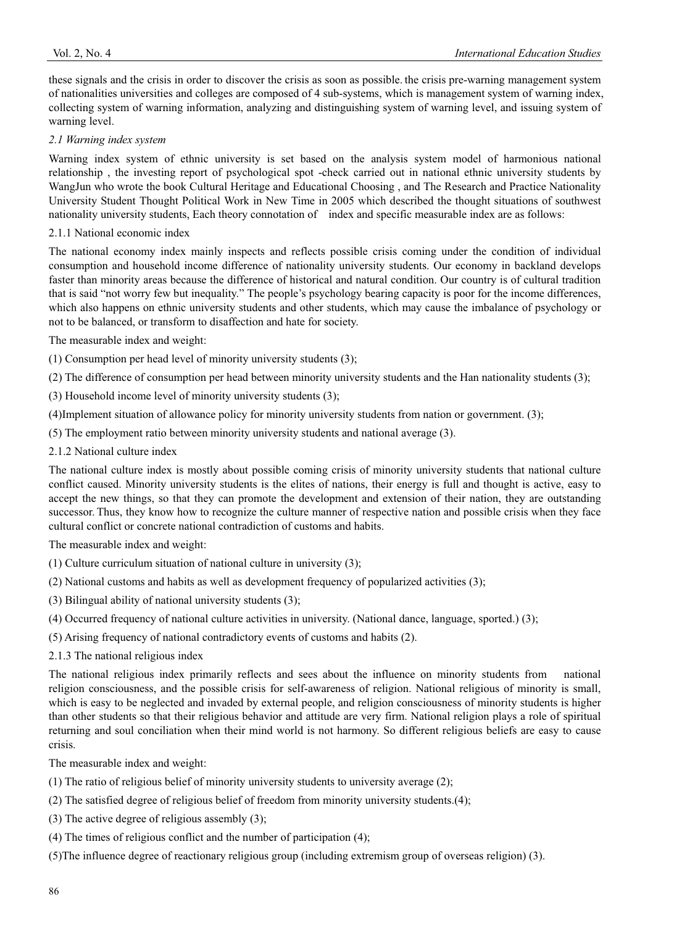these signals and the crisis in order to discover the crisis as soon as possible. the crisis pre-warning management system of nationalities universities and colleges are composed of 4 sub-systems, which is management system of warning index, collecting system of warning information, analyzing and distinguishing system of warning level, and issuing system of warning level.

#### *2.1 Warning index system*

Warning index system of ethnic university is set based on the analysis system model of harmonious national relationship , the investing report of psychological spot -check carried out in national ethnic university students by WangJun who wrote the book Cultural Heritage and Educational Choosing , and The Research and Practice Nationality University Student Thought Political Work in New Time in 2005 which described the thought situations of southwest nationality university students, Each theory connotation of index and specific measurable index are as follows:

#### 2.1.1 National economic index

The national economy index mainly inspects and reflects possible crisis coming under the condition of individual consumption and household income difference of nationality university students. Our economy in backland develops faster than minority areas because the difference of historical and natural condition. Our country is of cultural tradition that is said "not worry few but inequality." The people's psychology bearing capacity is poor for the income differences, which also happens on ethnic university students and other students, which may cause the imbalance of psychology or not to be balanced, or transform to disaffection and hate for society.

The measurable index and weight:

(1) Consumption per head level of minority university students (3);

(2) The difference of consumption per head between minority university students and the Han nationality students (3);

(3) Household income level of minority university students (3);

(4)Implement situation of allowance policy for minority university students from nation or government. (3);

- (5) The employment ratio between minority university students and national average (3).
- 2.1.2 National culture index

The national culture index is mostly about possible coming crisis of minority university students that national culture conflict caused. Minority university students is the elites of nations, their energy is full and thought is active, easy to accept the new things, so that they can promote the development and extension of their nation, they are outstanding successor. Thus, they know how to recognize the culture manner of respective nation and possible crisis when they face cultural conflict or concrete national contradiction of customs and habits.

The measurable index and weight:

- (1) Culture curriculum situation of national culture in university (3);
- (2) National customs and habits as well as development frequency of popularized activities (3);
- (3) Bilingual ability of national university students (3);
- (4) Occurred frequency of national culture activities in university. (National dance, language, sported.) (3);
- (5) Arising frequency of national contradictory events of customs and habits (2).
- 2.1.3 The national religious index

The national religious index primarily reflects and sees about the influence on minority students from national religion consciousness, and the possible crisis for self-awareness of religion. National religious of minority is small, which is easy to be neglected and invaded by external people, and religion consciousness of minority students is higher than other students so that their religious behavior and attitude are very firm. National religion plays a role of spiritual returning and soul conciliation when their mind world is not harmony. So different religious beliefs are easy to cause crisis.

The measurable index and weight:

- (1) The ratio of religious belief of minority university students to university average (2);
- (2) The satisfied degree of religious belief of freedom from minority university students.(4);
- (3) The active degree of religious assembly (3);
- (4) The times of religious conflict and the number of participation (4);
- (5)The influence degree of reactionary religious group (including extremism group of overseas religion) (3).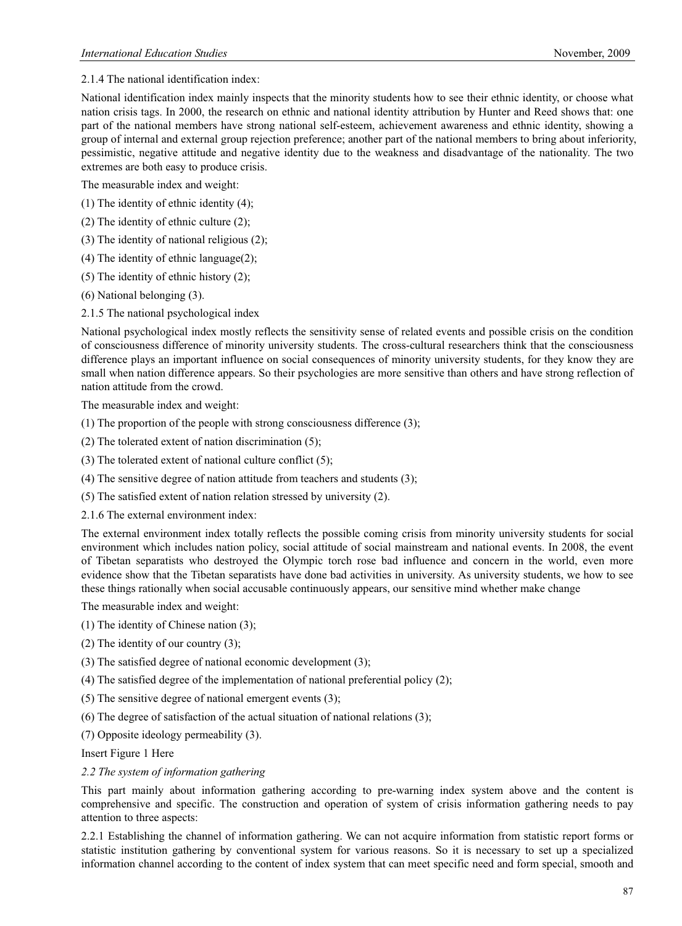2.1.4 The national identification index:

National identification index mainly inspects that the minority students how to see their ethnic identity, or choose what nation crisis tags. In 2000, the research on ethnic and national identity attribution by Hunter and Reed shows that: one part of the national members have strong national self-esteem, achievement awareness and ethnic identity, showing a group of internal and external group rejection preference; another part of the national members to bring about inferiority, pessimistic, negative attitude and negative identity due to the weakness and disadvantage of the nationality. The two extremes are both easy to produce crisis.

The measurable index and weight:

- (1) The identity of ethnic identity (4);
- (2) The identity of ethnic culture (2);
- (3) The identity of national religious (2);
- (4) The identity of ethnic language(2);
- (5) The identity of ethnic history (2);
- (6) National belonging (3).
- 2.1.5 The national psychological index

National psychological index mostly reflects the sensitivity sense of related events and possible crisis on the condition of consciousness difference of minority university students. The cross-cultural researchers think that the consciousness difference plays an important influence on social consequences of minority university students, for they know they are small when nation difference appears. So their psychologies are more sensitive than others and have strong reflection of nation attitude from the crowd.

The measurable index and weight:

- (1) The proportion of the people with strong consciousness difference (3);
- (2) The tolerated extent of nation discrimination (5);
- (3) The tolerated extent of national culture conflict (5);
- (4) The sensitive degree of nation attitude from teachers and students (3);
- (5) The satisfied extent of nation relation stressed by university (2).
- 2.1.6 The external environment index:

The external environment index totally reflects the possible coming crisis from minority university students for social environment which includes nation policy, social attitude of social mainstream and national events. In 2008, the event of Tibetan separatists who destroyed the Olympic torch rose bad influence and concern in the world, even more evidence show that the Tibetan separatists have done bad activities in university. As university students, we how to see these things rationally when social accusable continuously appears, our sensitive mind whether make change

The measurable index and weight:

- (1) The identity of Chinese nation (3);
- (2) The identity of our country (3);
- (3) The satisfied degree of national economic development (3);
- (4) The satisfied degree of the implementation of national preferential policy (2);
- (5) The sensitive degree of national emergent events (3);
- (6) The degree of satisfaction of the actual situation of national relations (3);
- (7) Opposite ideology permeability (3).

Insert Figure 1 Here

#### *2.2 The system of information gathering*

This part mainly about information gathering according to pre-warning index system above and the content is comprehensive and specific. The construction and operation of system of crisis information gathering needs to pay attention to three aspects:

2.2.1 Establishing the channel of information gathering. We can not acquire information from statistic report forms or statistic institution gathering by conventional system for various reasons. So it is necessary to set up a specialized information channel according to the content of index system that can meet specific need and form special, smooth and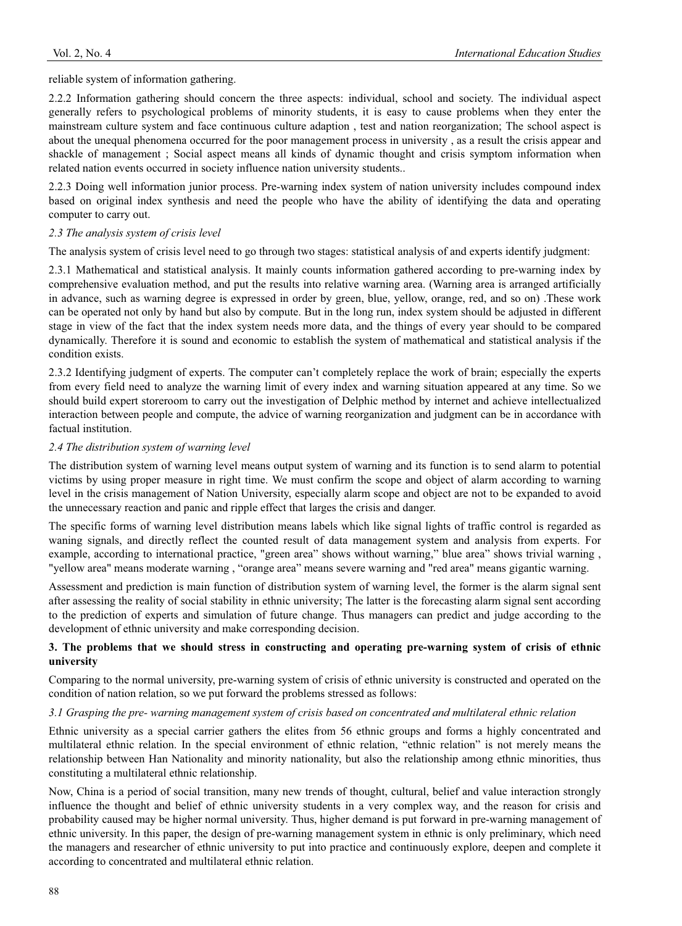reliable system of information gathering.

2.2.2 Information gathering should concern the three aspects: individual, school and society. The individual aspect generally refers to psychological problems of minority students, it is easy to cause problems when they enter the mainstream culture system and face continuous culture adaption , test and nation reorganization; The school aspect is about the unequal phenomena occurred for the poor management process in university , as a result the crisis appear and shackle of management ; Social aspect means all kinds of dynamic thought and crisis symptom information when related nation events occurred in society influence nation university students..

2.2.3 Doing well information junior process. Pre-warning index system of nation university includes compound index based on original index synthesis and need the people who have the ability of identifying the data and operating computer to carry out.

# *2.3 The analysis system of crisis level*

The analysis system of crisis level need to go through two stages: statistical analysis of and experts identify judgment:

2.3.1 Mathematical and statistical analysis. It mainly counts information gathered according to pre-warning index by comprehensive evaluation method, and put the results into relative warning area. (Warning area is arranged artificially in advance, such as warning degree is expressed in order by green, blue, yellow, orange, red, and so on) .These work can be operated not only by hand but also by compute. But in the long run, index system should be adjusted in different stage in view of the fact that the index system needs more data, and the things of every year should to be compared dynamically. Therefore it is sound and economic to establish the system of mathematical and statistical analysis if the condition exists.

2.3.2 Identifying judgment of experts. The computer can't completely replace the work of brain; especially the experts from every field need to analyze the warning limit of every index and warning situation appeared at any time. So we should build expert storeroom to carry out the investigation of Delphic method by internet and achieve intellectualized interaction between people and compute, the advice of warning reorganization and judgment can be in accordance with factual institution.

# *2.4 The distribution system of warning level*

The distribution system of warning level means output system of warning and its function is to send alarm to potential victims by using proper measure in right time. We must confirm the scope and object of alarm according to warning level in the crisis management of Nation University, especially alarm scope and object are not to be expanded to avoid the unnecessary reaction and panic and ripple effect that larges the crisis and danger.

The specific forms of warning level distribution means labels which like signal lights of traffic control is regarded as waning signals, and directly reflect the counted result of data management system and analysis from experts. For example, according to international practice, "green area" shows without warning," blue area" shows trivial warning , "yellow area" means moderate warning , "orange area" means severe warning and "red area" means gigantic warning.

Assessment and prediction is main function of distribution system of warning level, the former is the alarm signal sent after assessing the reality of social stability in ethnic university; The latter is the forecasting alarm signal sent according to the prediction of experts and simulation of future change. Thus managers can predict and judge according to the development of ethnic university and make corresponding decision.

# **3. The problems that we should stress in constructing and operating pre-warning system of crisis of ethnic university**

Comparing to the normal university, pre-warning system of crisis of ethnic university is constructed and operated on the condition of nation relation, so we put forward the problems stressed as follows:

# *3.1 Grasping the pre- warning management system of crisis based on concentrated and multilateral ethnic relation*

Ethnic university as a special carrier gathers the elites from 56 ethnic groups and forms a highly concentrated and multilateral ethnic relation. In the special environment of ethnic relation, "ethnic relation" is not merely means the relationship between Han Nationality and minority nationality, but also the relationship among ethnic minorities, thus constituting a multilateral ethnic relationship.

Now, China is a period of social transition, many new trends of thought, cultural, belief and value interaction strongly influence the thought and belief of ethnic university students in a very complex way, and the reason for crisis and probability caused may be higher normal university. Thus, higher demand is put forward in pre-warning management of ethnic university. In this paper, the design of pre-warning management system in ethnic is only preliminary, which need the managers and researcher of ethnic university to put into practice and continuously explore, deepen and complete it according to concentrated and multilateral ethnic relation.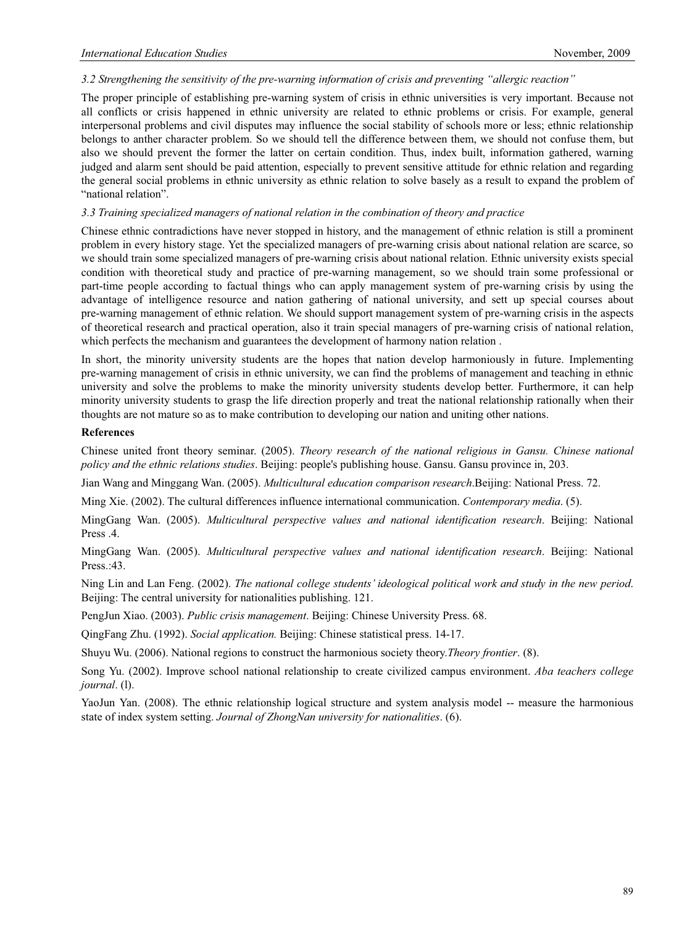#### *3.2 Strengthening the sensitivity of the pre-warning information of crisis and preventing "allergic reaction"*

The proper principle of establishing pre-warning system of crisis in ethnic universities is very important. Because not all conflicts or crisis happened in ethnic university are related to ethnic problems or crisis. For example, general interpersonal problems and civil disputes may influence the social stability of schools more or less; ethnic relationship belongs to anther character problem. So we should tell the difference between them, we should not confuse them, but also we should prevent the former the latter on certain condition. Thus, index built, information gathered, warning judged and alarm sent should be paid attention, especially to prevent sensitive attitude for ethnic relation and regarding the general social problems in ethnic university as ethnic relation to solve basely as a result to expand the problem of "national relation".

#### *3.3 Training specialized managers of national relation in the combination of theory and practice*

Chinese ethnic contradictions have never stopped in history, and the management of ethnic relation is still a prominent problem in every history stage. Yet the specialized managers of pre-warning crisis about national relation are scarce, so we should train some specialized managers of pre-warning crisis about national relation. Ethnic university exists special condition with theoretical study and practice of pre-warning management, so we should train some professional or part-time people according to factual things who can apply management system of pre-warning crisis by using the advantage of intelligence resource and nation gathering of national university, and sett up special courses about pre-warning management of ethnic relation. We should support management system of pre-warning crisis in the aspects of theoretical research and practical operation, also it train special managers of pre-warning crisis of national relation, which perfects the mechanism and guarantees the development of harmony nation relation .

In short, the minority university students are the hopes that nation develop harmoniously in future. Implementing pre-warning management of crisis in ethnic university, we can find the problems of management and teaching in ethnic university and solve the problems to make the minority university students develop better. Furthermore, it can help minority university students to grasp the life direction properly and treat the national relationship rationally when their thoughts are not mature so as to make contribution to developing our nation and uniting other nations.

#### **References**

Chinese united front theory seminar. (2005). *Theory research of the national religious in Gansu. Chinese national policy and the ethnic relations studies*. Beijing: people's publishing house. Gansu. Gansu province in, 203.

Jian Wang and Minggang Wan. (2005). *Multicultural education comparison research*.Beijing: National Press. 72.

Ming Xie. (2002). The cultural differences influence international communication. *Contemporary media*. (5).

MingGang Wan. (2005). *Multicultural perspective values and national identification research*. Beijing: National Press .4.

MingGang Wan. (2005). *Multicultural perspective values and national identification research*. Beijing: National Press.:43.

Ning Lin and Lan Feng. (2002). *The national college students' ideological political work and study in the new period*. Beijing: The central university for nationalities publishing. 121.

PengJun Xiao. (2003). *Public crisis management*. Beijing: Chinese University Press. 68.

QingFang Zhu. (1992). *Social application.* Beijing: Chinese statistical press. 14-17.

Shuyu Wu. (2006). National regions to construct the harmonious society theory.*Theory frontier*. (8).

Song Yu. (2002). Improve school national relationship to create civilized campus environment. *Aba teachers college journal*. (l).

YaoJun Yan. (2008). The ethnic relationship logical structure and system analysis model -- measure the harmonious state of index system setting. *Journal of ZhongNan university for nationalities*. (6).